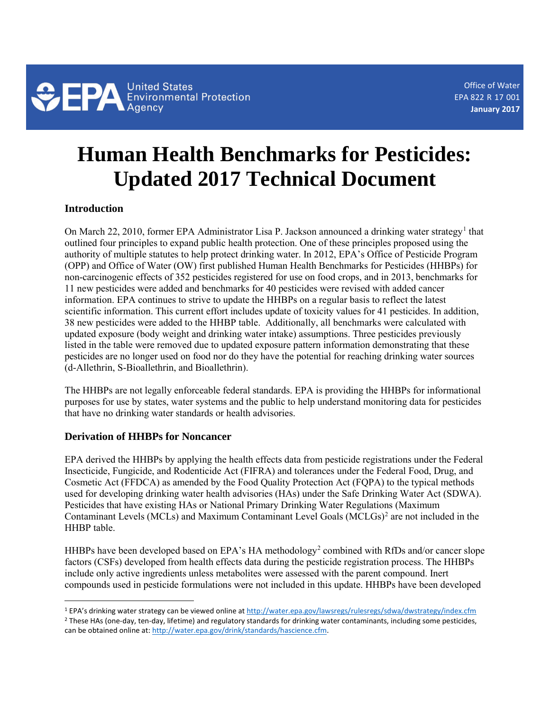

Office of Water EPA 822**-**R **-**17 **-**001 **January 2017**

# **Human Health Benchmarks for Pesticides: Updated 2017 Technical Document**

## **Introduction**

 $\overline{\phantom{a}}$ 

On March 22, 20[1](#page-0-0)0, former EPA Administrator Lisa P. Jackson announced a drinking water strategy<sup>1</sup> that outlined four principles to expand public health protection. One of these principles proposed using the authority of multiple statutes to help protect drinking water. In 2012, EPA's Office of Pesticide Program (OPP) and Office of Water (OW) first published Human Health Benchmarks for Pesticides (HHBPs) for non-carcinogenic effects of 352 pesticides registered for use on food crops, and in 2013, benchmarks for 11 new pesticides were added and benchmarks for 40 pesticides were revised with added cancer information. EPA continues to strive to update the HHBPs on a regular basis to reflect the latest scientific information. This current effort includes update of toxicity values for 41 pesticides. In addition, 38 new pesticides were added to the HHBP table. Additionally, all benchmarks were calculated with updated exposure (body weight and drinking water intake) assumptions. Three pesticides previously listed in the table were removed due to updated exposure pattern information demonstrating that these pesticides are no longer used on food nor do they have the potential for reaching drinking water sources (d-Allethrin, S-Bioallethrin, and Bioallethrin).

The HHBPs are not legally enforceable federal standards. EPA is providing the HHBPs for informational purposes for use by states, water systems and the public to help understand monitoring data for pesticides that have no drinking water standards or health advisories.

## **Derivation of HHBPs for Noncancer**

EPA derived the HHBPs by applying the health effects data from pesticide registrations under the Federal Insecticide, Fungicide, and Rodenticide Act (FIFRA) and tolerances under the Federal Food, Drug, and Cosmetic Act (FFDCA) as amended by the Food Quality Protection Act (FQPA) to the typical methods used for developing drinking water health advisories (HAs) under the Safe Drinking Water Act (SDWA). Pesticides that have existing HAs or National Primary Drinking Water Regulations (Maximum Contaminant Levels (MCLs) and Maximum Contaminant Level Goals (MCLGs) [2](#page-0-1) are not included in the HHBP table.

HHBPs have been developed based on EPA's HA methodology<sup>2</sup> combined with RfDs and/or cancer slope factors (CSFs) developed from health effects data during the pesticide registration process. The HHBPs include only active ingredients unless metabolites were assessed with the parent compound. Inert compounds used in pesticide formulations were not included in this update. HHBPs have been developed

<span id="page-0-0"></span><sup>&</sup>lt;sup>1</sup> EPA's drinking water strategy can be viewed online at http://water.epa.gov/lawsregs/rulesregs/sdwa/dwstrategy/index.cfm<br><sup>2</sup> These HAs (one-day, ten-day, lifetime) and regulatory standards for drinking water contaminant

<span id="page-0-2"></span><span id="page-0-1"></span>can be obtained online at[: http://water.epa.gov/drink/standards/hascience.cfm.](http://water.epa.gov/drink/standards/hascience.cfm)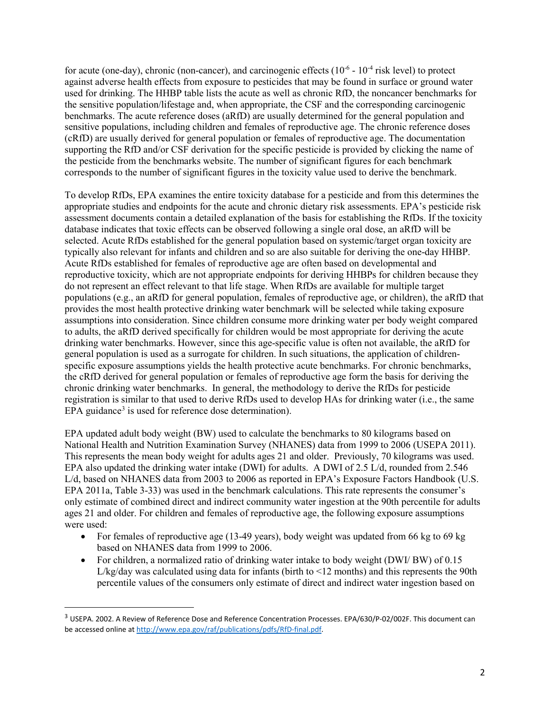for acute (one-day), chronic (non-cancer), and carcinogenic effects  $(10^{-6} - 10^{-4}$  risk level) to protect supporting the RfD and/or CSF derivation for the specific pesticide is provided by clicking the name of the pesticide from the benchmarks website. The number of significant figures for each benchmark corresponds to the number of significant figures in the toxicity value used to derive the benchmark. against adverse health effects from exposure to pesticides that may be found in surface or ground water used for drinking. The HHBP table lists the acute as well as chronic RfD, the noncancer benchmarks for the sensitive population/lifestage and, when appropriate, the CSF and the corresponding carcinogenic benchmarks. The acute reference doses (aRfD) are usually determined for the general population and sensitive populations, including children and females of reproductive age. The chronic reference doses (cRfD) are usually derived for general population or females of reproductive age. The documentation

 assessment documents contain a detailed explanation of the basis for establishing the RfDs. If the toxicity selected. Acute RfDs established for the general population based on systemic/target organ toxicity are typically also relevant for infants and children and so are also suitable for deriving the one-day HHBP. Acute RfDs established for females of reproductive age are often based on developmental and reproductive toxicity, which are not appropriate endpoints for deriving HHBPs for children because they do not represent an effect relevant to that life stage. When RfDs are available for multiple target assumptions into consideration. Since children consume more drinking water per body weight compared chronic drinking water benchmarks. In general, the methodology to derive the RfDs for pesticide registration is similar to that used to derive RfDs used to develop HAs for drinking water (i.e., the same To develop RfDs, EPA examines the entire toxicity database for a pesticide and from this determines the appropriate studies and endpoints for the acute and chronic dietary risk assessments. EPA's pesticide risk database indicates that toxic effects can be observed following a single oral dose, an aRfD will be populations (e.g., an aRfD for general population, females of reproductive age, or children), the aRfD that provides the most health protective drinking water benchmark will be selected while taking exposure to adults, the aRfD derived specifically for children would be most appropriate for deriving the acute drinking water benchmarks. However, since this age-specific value is often not available, the aRfD for general population is used as a surrogate for children. In such situations, the application of childrenspecific exposure assumptions yields the health protective acute benchmarks. For chronic benchmarks, the cRfD derived for general population or females of reproductive age form the basis for deriving the EPA guidance<sup>[3](#page-1-0)</sup> is used for reference dose determination).

 EPA updated adult body weight (BW) used to calculate the benchmarks to 80 kilograms based on This represents the mean body weight for adults ages 21 and older. Previously, 70 kilograms was used. only estimate of combined direct and indirect community water ingestion at the 90th percentile for adults National Health and Nutrition Examination Survey (NHANES) data from 1999 to 2006 (USEPA 2011). EPA also updated the drinking water intake (DWI) for adults. A DWI of 2.5 L/d, rounded from 2.546 L/d, based on NHANES data from 2003 to 2006 as reported in EPA's Exposure Factors Handbook (U.S. EPA 2011a, Table 3-33) was used in the benchmark calculations. This rate represents the consumer's ages 21 and older. For children and females of reproductive age, the following exposure assumptions were used:

- For females of reproductive age (13-49 years), body weight was updated from 66 kg to 69 kg based on NHANES data from 1999 to 2006.
- percentile values of the consumers only estimate of direct and indirect water ingestion based on • For children, a normalized ratio of drinking water intake to body weight (DWI/ BW) of 0.15  $L/kg$ /day was calculated using data for infants (birth to  $\leq 12$  months) and this represents the 90th

 $\overline{\phantom{a}}$ 

<span id="page-1-0"></span><sup>&</sup>lt;sup>3</sup> USEPA. 2002. A Review of Reference Dose and Reference Concentration Processes. EPA/630/P-02/002F. This document can be accessed online a[t http://www.epa.gov/raf/publications/pdfs/RfD-final.pdf.](http://www.epa.gov/raf/publications/pdfs/RfD-final.pdf)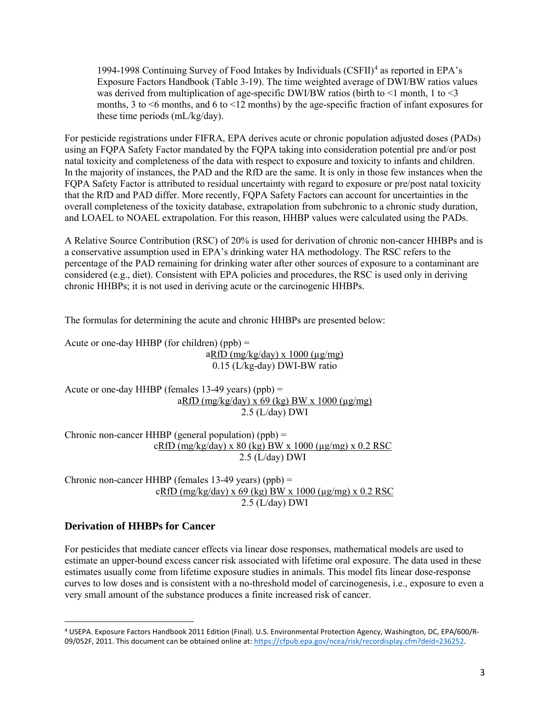1994-1998 Continuing Survey of Food Intakes by Individuals (CSFII)<sup>4</sup> as reported in EPA's Exposure Factors Handbook (Table 3-19). The time weighted average of DWI/BW ratios values was derived from multiplication of age-specific DWI/BW ratios (birth to  $\leq$  month, 1 to  $\leq$ 3 months, 3 to  $\leq$ 6 months, and 6 to  $\leq$ 12 months) by the age-specific fraction of infant exposures for these time periods (mL/kg/day).

 In the majority of instances, the PAD and the RfD are the same. It is only in those few instances when the FQPA Safety Factor is attributed to residual uncertainty with regard to exposure or pre/post natal toxicity overall completeness of the toxicity database, extrapolation from subchronic to a chronic study duration, and LOAEL to NOAEL extrapolation. For this reason, HHBP values were calculated using the PADs. For pesticide registrations under FIFRA, EPA derives acute or chronic population adjusted doses (PADs) using an FQPA Safety Factor mandated by the FQPA taking into consideration potential pre and/or post natal toxicity and completeness of the data with respect to exposure and toxicity to infants and children. that the RfD and PAD differ. More recently, FQPA Safety Factors can account for uncertainties in the

 a conservative assumption used in EPA's drinking water HA methodology. The RSC refers to the chronic HHBPs; it is not used in deriving acute or the carcinogenic HHBPs. A Relative Source Contribution (RSC) of 20% is used for derivation of chronic non-cancer HHBPs and is percentage of the PAD remaining for drinking water after other sources of exposure to a contaminant are considered (e.g., diet). Consistent with EPA policies and procedures, the RSC is used only in deriving

The formulas for determining the acute and chronic HHBPs are presented below:

 $aRfD(mg/kg/day) \times 1000(\mu g/mg)$ Acute or one-day HHBP (for children)  $(ppb) =$ 0.15 (L/kg-day) DWI-BW ratio

 Acute or one-day HHBP (females 13-49 years) (ppb) = aRfD (mg/kg/day) x 69 (kg) BW x 1000 (µg/mg) 2.5 (L/day) DWI

Chronic non-cancer HHBP (general population) (ppb)  $=$  $cRfD (mg/kg/day) \times 80 (kg) BW \times 1000 (µg/mg) \times 0.2 RSC$ 2.5 (L/day) DWI

Chronic non-cancer HHBP (females 13-49 years) (ppb) = Chronic non-cancer HHBP (females 13-49 years) (ppb) =  $cRfD (mg/kg/day) \times 69 (kg) BW \times 1000 (µg/mg) \times 0.2 RSC$ 2.5 (L/day) DWI

# **Derivation of HHBPs for Cancer**

 $\overline{\phantom{a}}$ 

 For pesticides that mediate cancer effects via linear dose responses, mathematical models are used to estimate an upper-bound excess cancer risk associated with lifetime oral exposure. The data used in these curves to low doses and is consistent with a no-threshold model of carcinogenesis, i.e., exposure to even a estimates usually come from lifetime exposure studies in animals. This model fits linear dose-response very small amount of the substance produces a finite increased risk of cancer.

<span id="page-2-0"></span><sup>4</sup> USEPA. Exposure Factors Handbook 2011 Edition (Final). U.S. Environmental Protection Agency, Washington, DC, EPA/600/R-09/052F, 2011. This document can be obtained online at: https://cfpub.epa.gov/ncea/risk/recordisplay.cfm?deid=236252.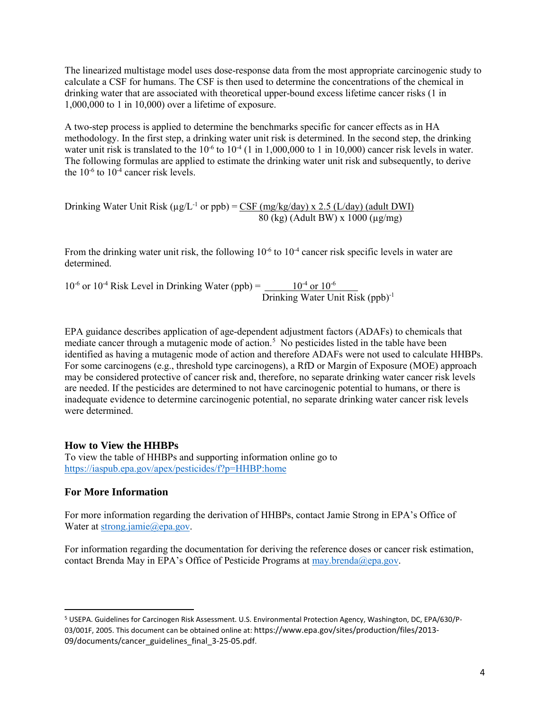calculate a CSF for humans. The CSF is then used to determine the concentrations of the chemical in drinking water that are associated with theoretical upper-bound excess lifetime cancer risks (1 in The linearized multistage model uses dose-response data from the most appropriate carcinogenic study to 1,000,000 to 1 in 10,000) over a lifetime of exposure.

water unit risk is translated to the  $10^{-6}$  to  $10^{-4}$  (1 in 1,000,000 to 1 in 10,000) cancer risk levels in water. the  $10^{-6}$  to  $10^{-4}$  cancer risk levels. A two-step process is applied to determine the benchmarks specific for cancer effects as in HA methodology. In the first step, a drinking water unit risk is determined. In the second step, the drinking The following formulas are applied to estimate the drinking water unit risk and subsequently, to derive

Drinking Water Unit Risk ( $\mu g/L^{-1}$  or ppb) = CSF (mg/kg/day) x 2.5 (L/day) (adult DWI)  $80$  (kg) (Adult BW) x  $1000$  ( $\mu$ g/mg)

From the drinking water unit risk, the following 10<sup>-6</sup> to 10<sup>-4</sup> cancer risk specific levels in water are determined.

or  $10^{-4}$  Risk Level in Drinking Water (ppb) =  $\underline{\hspace{1cm}10^{-4}}$  or  $10^{-6}$ Drinking Water Unit Risk (ppb)<sup>-1</sup>  $10^{-6}$  or  $10^{-4}$  Risk Level in Drinking Water (ppb) =

mediate cancer through a mutagenic mode of action.<sup>5</sup> No pesticides listed in the table have been are needed. If the pesticides are determined to not have carcinogenic potential to humans, or there is EPA guidance describes application of age-dependent adjustment factors (ADAFs) to chemicals that identified as having a mutagenic mode of action and therefore ADAFs were not used to calculate HHBPs. For some carcinogens (e.g., threshold type carcinogens), a RfD or Margin of Exposure (MOE) approach may be considered protective of cancer risk and, therefore, no separate drinking water cancer risk levels inadequate evidence to determine carcinogenic potential, no separate drinking water cancer risk levels were determined.

## **How to View the HHBPs**

 To view the table of HHBPs and supporting information online go to <https://iaspub.epa.gov/apex/pesticides/f?p=HHBP:home>

## **For More Information**

l

For more information regarding the derivation of HHBPs, contact Jamie Strong in EPA's Office of Water at [strong.jamie@epa.gov.](mailto:strong.jamie@epa.gov)

contact Brenda May in EPA's Office of Pesticide Programs at [may.brenda@epa.gov.](mailto:may.brenda@epa.gov) For information regarding the documentation for deriving the reference doses or cancer risk estimation,

<span id="page-3-0"></span><sup>5</sup> USEPA. Guidelines for Carcinogen Risk Assessment. U.S. Environmental Protection Agency, Washington, DC, EPA/630/P-03/001F, 2005. This document can be obtained online at: https://www.epa.gov/sites/production/files/2013- 09/documents/cancer\_guidelines\_final\_3-25-05.pdf.